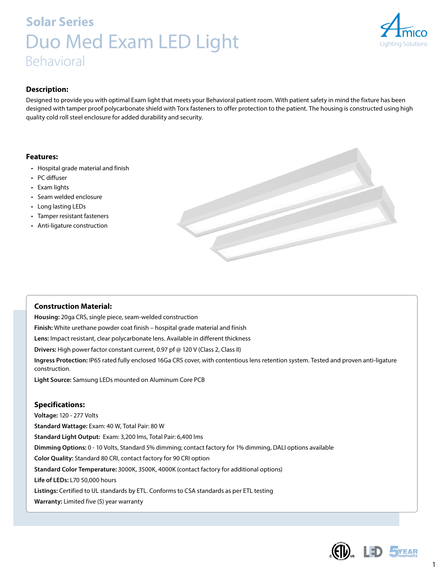# **Solar Series** Duo Med Exam LED Light Behavioral



## **Description:**

Designed to provide you with optimal Exam light that meets your Behavioral patient room. With patient safety in mind the fixture has been designed with tamper proof polycarbonate shield with Torx fasteners to offer protection to the patient. The housing is constructed using high quality cold roll steel enclosure for added durability and security.

## **Features:**

- Hospital grade material and finish
- PC diffuser
- Exam lights
- Seam welded enclosure
- Long lasting LEDs
- Tamper resistant fasteners
- Anti-ligature construction



## **Construction Material:**

**Housing:** 20ga CRS, single piece, seam-welded construction **Finish:** White urethane powder coat finish – hospital grade material and finish **Lens:** Impact resistant, clear polycarbonate lens. Available in different thickness **Drivers:** High power factor constant current, 0.97 pf @ 120 V (Class 2, Class II) **Ingress Protection:** IP65 rated fully enclosed 16Ga CRS cover, with contentious lens retention system. Tested and proven anti-ligature construction. **Light Source:** Samsung LEDs mounted on Aluminum Core PCB

## **Specifications:**

**Voltage:** 120 - 277 Volts **Standard Wattage:** Exam: 40 W, Total Pair: 80 W **Standard Light Output:** Exam: 3,200 lms, Total Pair: 6,400 lms **Dimming Options:** 0 - 10 Volts, Standard 5% dimming; contact factory for 1% dimming, DALI options available **Color Quality:** Standard 80 CRI, contact factory for 90 CRI option **Standard Color Temperature:** 3000K, 3500K, 4000K (contact factory for additional options) **Life of LEDs:** L70 50,000 hours **Listings:** Certified to UL standards by ETL. Conforms to CSA standards as per ETL testing **Warranty:** Limited five (5) year warranty



1